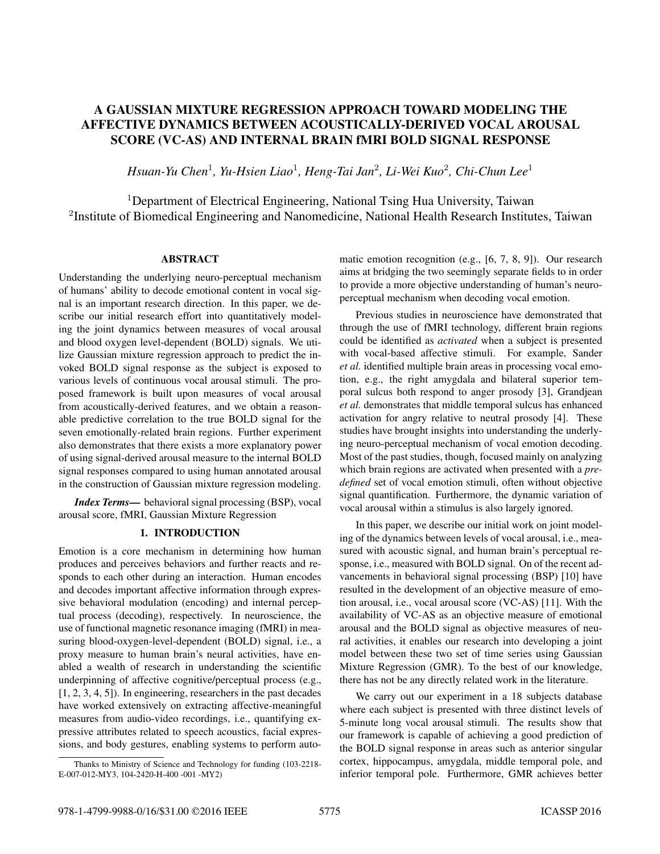# A GAUSSIAN MIXTURE REGRESSION APPROACH TOWARD MODELING THE AFFECTIVE DYNAMICS BETWEEN ACOUSTICALLY-DERIVED VOCAL AROUSAL SCORE (VC-AS) AND INTERNAL BRAIN fMRI BOLD SIGNAL RESPONSE

*Hsuan-Yu Chen*<sup>1</sup> *, Yu-Hsien Liao*<sup>1</sup> *, Heng-Tai Jan*<sup>2</sup> *, Li-Wei Kuo*<sup>2</sup> *, Chi-Chun Lee*<sup>1</sup>

<sup>1</sup>Department of Electrical Engineering, National Tsing Hua University, Taiwan <sup>2</sup>Institute of Biomedical Engineering and Nanomedicine, National Health Research Institutes, Taiwan

#### ABSTRACT

Understanding the underlying neuro-perceptual mechanism of humans' ability to decode emotional content in vocal signal is an important research direction. In this paper, we describe our initial research effort into quantitatively modeling the joint dynamics between measures of vocal arousal and blood oxygen level-dependent (BOLD) signals. We utilize Gaussian mixture regression approach to predict the invoked BOLD signal response as the subject is exposed to various levels of continuous vocal arousal stimuli. The proposed framework is built upon measures of vocal arousal from acoustically-derived features, and we obtain a reasonable predictive correlation to the true BOLD signal for the seven emotionally-related brain regions. Further experiment also demonstrates that there exists a more explanatory power of using signal-derived arousal measure to the internal BOLD signal responses compared to using human annotated arousal in the construction of Gaussian mixture regression modeling.

*Index Terms*— behavioral signal processing (BSP), vocal arousal score, fMRI, Gaussian Mixture Regression

## 1. INTRODUCTION

Emotion is a core mechanism in determining how human produces and perceives behaviors and further reacts and responds to each other during an interaction. Human encodes and decodes important affective information through expressive behavioral modulation (encoding) and internal perceptual process (decoding), respectively. In neuroscience, the use of functional magnetic resonance imaging (fMRI) in measuring blood-oxygen-level-dependent (BOLD) signal, i.e., a proxy measure to human brain's neural activities, have enabled a wealth of research in understanding the scientific underpinning of affective cognitive/perceptual process (e.g., [1, 2, 3, 4, 5]). In engineering, researchers in the past decades have worked extensively on extracting affective-meaningful measures from audio-video recordings, i.e., quantifying expressive attributes related to speech acoustics, facial expressions, and body gestures, enabling systems to perform automatic emotion recognition (e.g., [6, 7, 8, 9]). Our research aims at bridging the two seemingly separate fields to in order to provide a more objective understanding of human's neuroperceptual mechanism when decoding vocal emotion.

Previous studies in neuroscience have demonstrated that through the use of fMRI technology, different brain regions could be identified as *activated* when a subject is presented with vocal-based affective stimuli. For example, Sander *et al.* identified multiple brain areas in processing vocal emotion, e.g., the right amygdala and bilateral superior temporal sulcus both respond to anger prosody [3], Grandjean *et al.* demonstrates that middle temporal sulcus has enhanced activation for angry relative to neutral prosody [4]. These studies have brought insights into understanding the underlying neuro-perceptual mechanism of vocal emotion decoding. Most of the past studies, though, focused mainly on analyzing which brain regions are activated when presented with a *predefined* set of vocal emotion stimuli, often without objective signal quantification. Furthermore, the dynamic variation of vocal arousal within a stimulus is also largely ignored.

In this paper, we describe our initial work on joint modeling of the dynamics between levels of vocal arousal, i.e., measured with acoustic signal, and human brain's perceptual response, i.e., measured with BOLD signal. On of the recent advancements in behavioral signal processing (BSP) [10] have resulted in the development of an objective measure of emotion arousal, i.e., vocal arousal score (VC-AS) [11]. With the availability of VC-AS as an objective measure of emotional arousal and the BOLD signal as objective measures of neural activities, it enables our research into developing a joint model between these two set of time series using Gaussian Mixture Regression (GMR). To the best of our knowledge, there has not be any directly related work in the literature.

We carry out our experiment in a 18 subjects database where each subject is presented with three distinct levels of 5-minute long vocal arousal stimuli. The results show that our framework is capable of achieving a good prediction of the BOLD signal response in areas such as anterior singular cortex, hippocampus, amygdala, middle temporal pole, and inferior temporal pole. Furthermore, GMR achieves better

Thanks to Ministry of Science and Technology for funding (103-2218- E-007-012-MY3, 104-2420-H-400 -001 -MY2)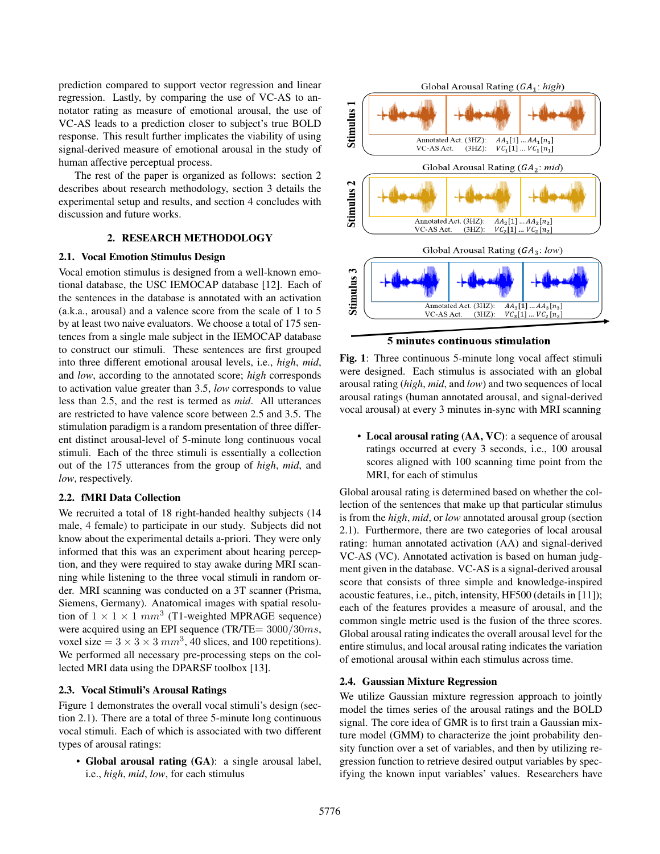prediction compared to support vector regression and linear regression. Lastly, by comparing the use of VC-AS to annotator rating as measure of emotional arousal, the use of VC-AS leads to a prediction closer to subject's true BOLD response. This result further implicates the viability of using signal-derived measure of emotional arousal in the study of human affective perceptual process.

The rest of the paper is organized as follows: section 2 describes about research methodology, section 3 details the experimental setup and results, and section 4 concludes with discussion and future works.

### 2. RESEARCH METHODOLOGY

#### 2.1. Vocal Emotion Stimulus Design

Vocal emotion stimulus is designed from a well-known emotional database, the USC IEMOCAP database [12]. Each of the sentences in the database is annotated with an activation (a.k.a., arousal) and a valence score from the scale of 1 to 5 by at least two naive evaluators. We choose a total of 175 sentences from a single male subject in the IEMOCAP database to construct our stimuli. These sentences are first grouped into three different emotional arousal levels, i.e., *high*, *mid*, and *low*, according to the annotated score; *high* corresponds to activation value greater than 3.5, *low* corresponds to value less than 2.5, and the rest is termed as *mid*. All utterances are restricted to have valence score between 2.5 and 3.5. The stimulation paradigm is a random presentation of three different distinct arousal-level of 5-minute long continuous vocal stimuli. Each of the three stimuli is essentially a collection out of the 175 utterances from the group of *high*, *mid*, and *low*, respectively.

### 2.2. fMRI Data Collection

We recruited a total of 18 right-handed healthy subjects (14 male, 4 female) to participate in our study. Subjects did not know about the experimental details a-priori. They were only informed that this was an experiment about hearing perception, and they were required to stay awake during MRI scanning while listening to the three vocal stimuli in random order. MRI scanning was conducted on a 3T scanner (Prisma, Siemens, Germany). Anatomical images with spatial resolution of  $1 \times 1 \times 1$   $mm^3$  (T1-weighted MPRAGE sequence) were acquired using an EPI sequence (TR/TE=  $3000/30$ ms, voxel size =  $3 \times 3 \times 3$  mm<sup>3</sup>, 40 slices, and 100 repetitions). We performed all necessary pre-processing steps on the collected MRI data using the DPARSF toolbox [13].

#### 2.3. Vocal Stimuli's Arousal Ratings

Figure 1 demonstrates the overall vocal stimuli's design (section 2.1). There are a total of three 5-minute long continuous vocal stimuli. Each of which is associated with two different types of arousal ratings:

• Global arousal rating (GA): a single arousal label, i.e., *high*, *mid*, *low*, for each stimulus



5 minutes continuous stimulation

Fig. 1: Three continuous 5-minute long vocal affect stimuli were designed. Each stimulus is associated with an global arousal rating (*high*, *mid*, and *low*) and two sequences of local arousal ratings (human annotated arousal, and signal-derived vocal arousal) at every 3 minutes in-sync with MRI scanning

• Local arousal rating (AA, VC): a sequence of arousal ratings occurred at every 3 seconds, i.e., 100 arousal scores aligned with 100 scanning time point from the MRI, for each of stimulus

Global arousal rating is determined based on whether the collection of the sentences that make up that particular stimulus is from the *high*, *mid*, or *low* annotated arousal group (section 2.1). Furthermore, there are two categories of local arousal rating: human annotated activation (AA) and signal-derived VC-AS (VC). Annotated activation is based on human judgment given in the database. VC-AS is a signal-derived arousal score that consists of three simple and knowledge-inspired acoustic features, i.e., pitch, intensity, HF500 (details in [11]); each of the features provides a measure of arousal, and the common single metric used is the fusion of the three scores. Global arousal rating indicates the overall arousal level for the entire stimulus, and local arousal rating indicates the variation of emotional arousal within each stimulus across time.

#### 2.4. Gaussian Mixture Regression

We utilize Gaussian mixture regression approach to jointly model the times series of the arousal ratings and the BOLD signal. The core idea of GMR is to first train a Gaussian mixture model (GMM) to characterize the joint probability density function over a set of variables, and then by utilizing regression function to retrieve desired output variables by specifying the known input variables' values. Researchers have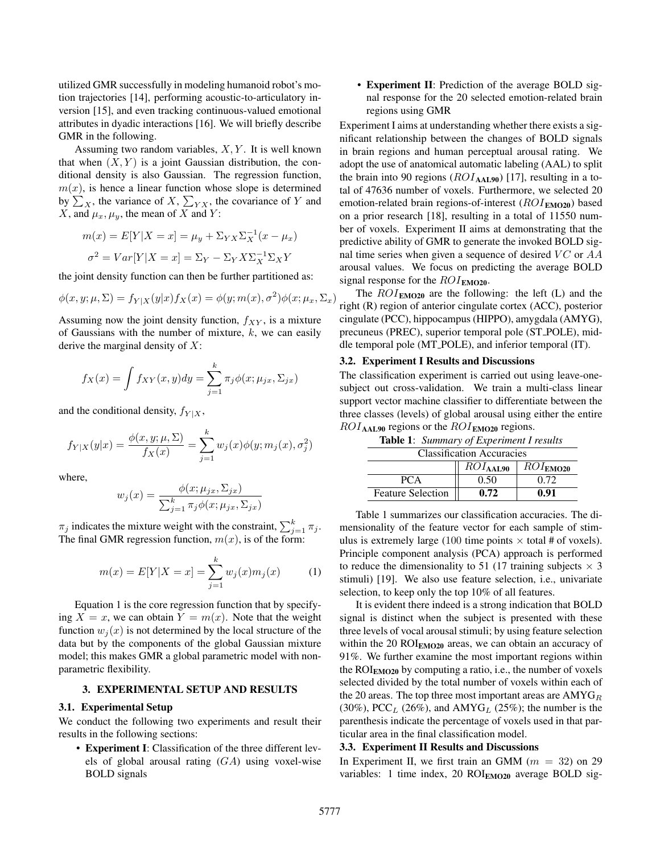utilized GMR successfully in modeling humanoid robot's motion trajectories [14], performing acoustic-to-articulatory inversion [15], and even tracking continuous-valued emotional attributes in dyadic interactions [16]. We will briefly describe GMR in the following.

Assuming two random variables,  $X, Y$ . It is well known that when  $(X, Y)$  is a joint Gaussian distribution, the conditional density is also Gaussian. The regression function,  $m(x)$ , is hence a linear function whose slope is determined by  $\sum_X$ , the variance of X,  $\sum_{Y}$ , the covariance of Y and X, and  $\mu_x, \mu_y$ , the mean of X and Y:

$$
m(x) = E[Y|X = x] = \mu_y + \Sigma_{YX}\Sigma_X^{-1}(x - \mu_x)
$$

$$
\sigma^2 = Var[Y|X = x] = \Sigma_Y - \Sigma_Y X \Sigma_X^{-1} \Sigma_X Y
$$

the joint density function can then be further partitioned as:

$$
\phi(x, y; \mu, \Sigma) = f_{Y|X}(y|x) f_X(x) = \phi(y; m(x), \sigma^2) \phi(x; \mu_x, \Sigma_x)
$$

Assuming now the joint density function,  $f_{XY}$ , is a mixture of Gaussians with the number of mixture,  $k$ , we can easily derive the marginal density of  $X$ :

$$
f_X(x) = \int f_{XY}(x, y) dy = \sum_{j=1}^k \pi_j \phi(x; \mu_{jx}, \Sigma_{jx})
$$

and the conditional density,  $f_{Y|X}$ ,

$$
f_{Y|X}(y|x) = \frac{\phi(x, y; \mu, \Sigma)}{f_X(x)} = \sum_{j=1}^k w_j(x)\phi(y; m_j(x), \sigma_j^2)
$$

where,

$$
w_j(x) = \frac{\phi(x; \mu_{jx}, \Sigma_{jx})}{\sum_{j=1}^k \pi_j \phi(x; \mu_{jx}, \Sigma_{jx})}
$$

 $\pi_j$  indicates the mixture weight with the constraint,  $\sum_{j=1}^k \pi_j$ . The final GMR regression function,  $m(x)$ , is of the form:

$$
m(x) = E[Y|X = x] = \sum_{j=1}^{k} w_j(x)m_j(x)
$$
 (1)

Equation 1 is the core regression function that by specifying  $X = x$ , we can obtain  $Y = m(x)$ . Note that the weight function  $w_i(x)$  is not determined by the local structure of the data but by the components of the global Gaussian mixture model; this makes GMR a global parametric model with nonparametric flexibility.

#### 3. EXPERIMENTAL SETUP AND RESULTS

#### 3.1. Experimental Setup

We conduct the following two experiments and result their results in the following sections:

• Experiment I: Classification of the three different levels of global arousal rating  $(GA)$  using voxel-wise BOLD signals

• Experiment II: Prediction of the average BOLD signal response for the 20 selected emotion-related brain regions using GMR

Experiment I aims at understanding whether there exists a significant relationship between the changes of BOLD signals in brain regions and human perceptual arousal rating. We adopt the use of anatomical automatic labeling (AAL) to split the brain into 90 regions ( $ROI_{\text{AAL90}}$ ) [17], resulting in a total of 47636 number of voxels. Furthermore, we selected 20 emotion-related brain regions-of-interest  $(ROI_{EMO20})$  based on a prior research [18], resulting in a total of 11550 number of voxels. Experiment II aims at demonstrating that the predictive ability of GMR to generate the invoked BOLD signal time series when given a sequence of desired  $VC$  or  $AA$ arousal values. We focus on predicting the average BOLD signal response for the  $ROI_{EMO20}$ .

The  $ROI_{EMO20}$  are the following: the left (L) and the right (R) region of anterior cingulate cortex (ACC), posterior cingulate (PCC), hippocampus (HIPPO), amygdala (AMYG), precuneus (PREC), superior temporal pole (ST POLE), middle temporal pole (MT POLE), and inferior temporal (IT).

#### 3.2. Experiment I Results and Discussions

The classification experiment is carried out using leave-onesubject out cross-validation. We train a multi-class linear support vector machine classifier to differentiate between the three classes (levels) of global arousal using either the entire  $ROI<sub>AL90</sub>$  regions or the  $ROI<sub>EMO20</sub>$  regions.

Table 1: *Summary of Experiment I results*

| <b>Classification Accuracies</b> |                      |               |  |
|----------------------------------|----------------------|---------------|--|
|                                  | ROI <sub>AAL90</sub> | $ROI_{EMO20}$ |  |
| PC A                             | 0.50                 | 0.72          |  |
| <b>Feature Selection</b>         | 0.72                 | 0.91          |  |

Table 1 summarizes our classification accuracies. The dimensionality of the feature vector for each sample of stimulus is extremely large (100 time points  $\times$  total # of voxels). Principle component analysis (PCA) approach is performed to reduce the dimensionality to 51 (17 training subjects  $\times$  3 stimuli) [19]. We also use feature selection, i.e., univariate selection, to keep only the top 10% of all features.

It is evident there indeed is a strong indication that BOLD signal is distinct when the subject is presented with these three levels of vocal arousal stimuli; by using feature selection within the  $20 \text{ ROI}_{EMO20}$  areas, we can obtain an accuracy of 91%. We further examine the most important regions within the  $ROI<sub>EMO20</sub>$  by computing a ratio, i.e., the number of voxels selected divided by the total number of voxels within each of the 20 areas. The top three most important areas are  $AMYG<sub>R</sub>$ (30%), PCC<sub>L</sub> (26%), and AMYG<sub>L</sub> (25%); the number is the parenthesis indicate the percentage of voxels used in that particular area in the final classification model.

#### 3.3. Experiment II Results and Discussions

In Experiment II, we first train an GMM ( $m = 32$ ) on 29 variables: 1 time index, 20  $\text{ROI}_{\text{EMO20}}$  average BOLD sig-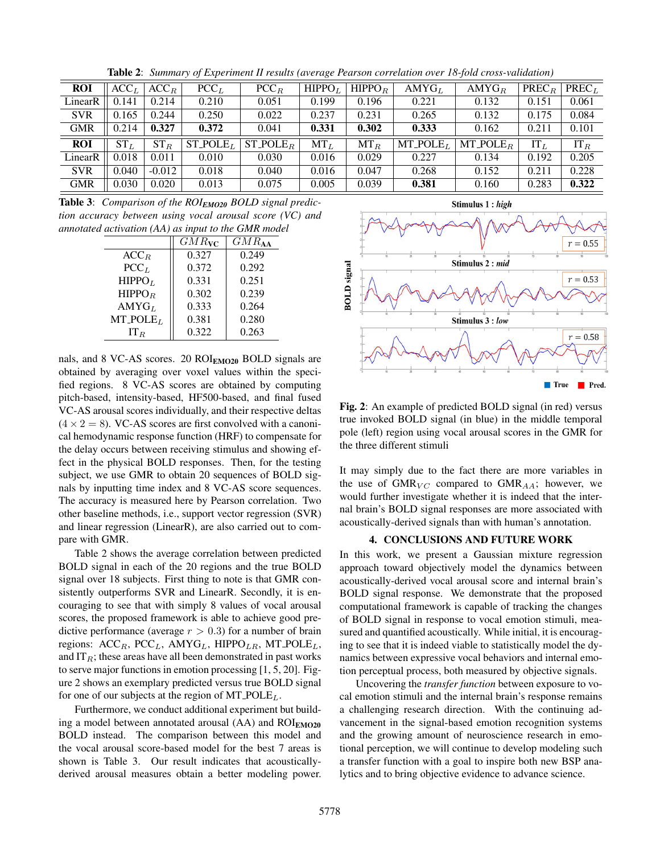| <b>ROI</b> | $ACC_L$ | ACC <sub>R</sub> | $PCC_L$     | $PCC_R$     | HIPPO <sub>L</sub> | HIPPO <sub>B</sub> | $AMYG_L$     | $AMYG_R$    | $PREC_R$ | $PREC_L$ |
|------------|---------|------------------|-------------|-------------|--------------------|--------------------|--------------|-------------|----------|----------|
| LinearR    | 0.141   | 0.214            | 0.210       | 0.051       | 0.199              | 0.196              | 0.221        | 0.132       | 0.151    | 0.061    |
| <b>SVR</b> | 0.165   | 0.244            | 0.250       | 0.022       | 0.237              | 0.231              | 0.265        | 0.132       | 0.175    | 0.084    |
| <b>GMR</b> | 0.214   | 0.327            | 0.372       | 0.041       | 0.331              | 0.302              | 0.333        | 0.162       | 0.211    | 0.101    |
| <b>ROI</b> | $ST_L$  | $ST_B$           | $ST_POLE_L$ | $ST_POLE_B$ | $MT_L$             | $MT_R$             | $MT\_POLE_L$ | $MT\_POLEB$ | $IT_L$   | $IT_R$   |
| LinearR    | 0.018   | 0.011            | 0.010       | 0.030       | 0.016              | 0.029              | 0.227        | 0.134       | 0.192    | 0.205    |
| <b>SVR</b> | 0.040   | $-0.012$         | 0.018       | 0.040       | 0.016              | 0.047              | 0.268        | 0.152       | 0.211    | 0.228    |
| <b>GMR</b> | 0.030   | 0.020            | 0.013       | 0.075       | 0.005              | 0.039              | 0.381        | 0.160       | 0.283    | 0.322    |

Table 2: *Summary of Experiment II results (average Pearson correlation over 18-fold cross-validation)*

Table 3: *Comparison of the ROIEMO20 BOLD signal prediction accuracy between using vocal arousal score (VC) and annotated activation (AA) as input to the GMR model*

|                    | $GMR$ vc | $GMR_{AA}$ |
|--------------------|----------|------------|
| $ACC_R$            | 0.327    | 0.249      |
| $PCC_L$            | 0.372    | 0.292      |
| HIPPO <sub>L</sub> | 0.331    | 0.251      |
| HIPPO <sub>R</sub> | 0.302    | 0.239      |
| $AMYG_L$           | 0.333    | 0.264      |
| $MT\_POLE_L$       | 0.381    | 0.280      |
| $IT_R$             | 0.322    | 0.263      |

nals, and 8 VC-AS scores. 20 ROI<sub>EMO20</sub> BOLD signals are obtained by averaging over voxel values within the specified regions. 8 VC-AS scores are obtained by computing pitch-based, intensity-based, HF500-based, and final fused VC-AS arousal scores individually, and their respective deltas  $(4 \times 2 = 8)$ . VC-AS scores are first convolved with a canonical hemodynamic response function (HRF) to compensate for the delay occurs between receiving stimulus and showing effect in the physical BOLD responses. Then, for the testing subject, we use GMR to obtain 20 sequences of BOLD signals by inputting time index and 8 VC-AS score sequences. The accuracy is measured here by Pearson correlation. Two other baseline methods, i.e., support vector regression (SVR) and linear regression (LinearR), are also carried out to compare with GMR.

Table 2 shows the average correlation between predicted BOLD signal in each of the 20 regions and the true BOLD signal over 18 subjects. First thing to note is that GMR consistently outperforms SVR and LinearR. Secondly, it is encouraging to see that with simply 8 values of vocal arousal scores, the proposed framework is able to achieve good predictive performance (average  $r > 0.3$ ) for a number of brain regions:  $ACC_R$ ,  $PCC_L$ ,  $AMYG_L$ ,  $HIPPO_{LR}$ ,  $MT\_POLE_L$ , and  $IT_R$ ; these areas have all been demonstrated in past works to serve major functions in emotion processing [1, 5, 20]. Figure 2 shows an exemplary predicted versus true BOLD signal for one of our subjects at the region of  $MT\_POLE<sub>L</sub>$ .

Furthermore, we conduct additional experiment but building a model between annotated arousal (AA) and ROIEMO20 BOLD instead. The comparison between this model and the vocal arousal score-based model for the best 7 areas is shown is Table 3. Our result indicates that acousticallyderived arousal measures obtain a better modeling power.



Fig. 2: An example of predicted BOLD signal (in red) versus true invoked BOLD signal (in blue) in the middle temporal pole (left) region using vocal arousal scores in the GMR for the three different stimuli

It may simply due to the fact there are more variables in the use of  $GMR_{VC}$  compared to  $GMR_{AA}$ ; however, we would further investigate whether it is indeed that the internal brain's BOLD signal responses are more associated with acoustically-derived signals than with human's annotation.

#### 4. CONCLUSIONS AND FUTURE WORK

In this work, we present a Gaussian mixture regression approach toward objectively model the dynamics between acoustically-derived vocal arousal score and internal brain's BOLD signal response. We demonstrate that the proposed computational framework is capable of tracking the changes of BOLD signal in response to vocal emotion stimuli, measured and quantified acoustically. While initial, it is encouraging to see that it is indeed viable to statistically model the dynamics between expressive vocal behaviors and internal emotion perceptual process, both measured by objective signals.

Uncovering the *transfer function* between exposure to vocal emotion stimuli and the internal brain's response remains a challenging research direction. With the continuing advancement in the signal-based emotion recognition systems and the growing amount of neuroscience research in emotional perception, we will continue to develop modeling such a transfer function with a goal to inspire both new BSP analytics and to bring objective evidence to advance science.